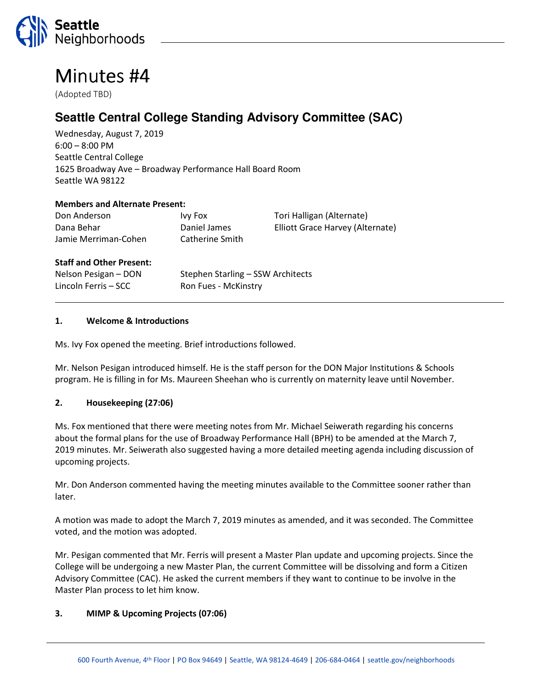

# Minutes #4

(Adopted TBD)

# **Seattle Central College Standing Advisory Committee (SAC)**

Wednesday, August 7, 2019 6:00 – 8:00 PM Seattle Central College 1625 Broadway Ave – Broadway Performance Hall Board Room Seattle WA 98122

#### Members and Alternate Present:

| Don Anderson         | <b>Ivy Fox</b>  | Tori Halligan (Alternate)        |
|----------------------|-----------------|----------------------------------|
| Dana Behar           | Daniel James    | Elliott Grace Harvey (Alternate) |
| Jamie Merriman-Cohen | Catherine Smith |                                  |
|                      |                 |                                  |

#### Staff and Other Present:

Lincoln Ferris – SCC Ron Fues - McKinstry

Nelson Pesigan – DON Stephen Starling – SSW Architects

#### 1. Welcome & Introductions

Ms. Ivy Fox opened the meeting. Brief introductions followed.

Mr. Nelson Pesigan introduced himself. He is the staff person for the DON Major Institutions & Schools program. He is filling in for Ms. Maureen Sheehan who is currently on maternity leave until November.

#### 2. Housekeeping (27:06)

Ms. Fox mentioned that there were meeting notes from Mr. Michael Seiwerath regarding his concerns about the formal plans for the use of Broadway Performance Hall (BPH) to be amended at the March 7, 2019 minutes. Mr. Seiwerath also suggested having a more detailed meeting agenda including discussion of upcoming projects.

Mr. Don Anderson commented having the meeting minutes available to the Committee sooner rather than later.

A motion was made to adopt the March 7, 2019 minutes as amended, and it was seconded. The Committee voted, and the motion was adopted.

Mr. Pesigan commented that Mr. Ferris will present a Master Plan update and upcoming projects. Since the College will be undergoing a new Master Plan, the current Committee will be dissolving and form a Citizen Advisory Committee (CAC). He asked the current members if they want to continue to be involve in the Master Plan process to let him know.

#### 3. MIMP & Upcoming Projects (07:06)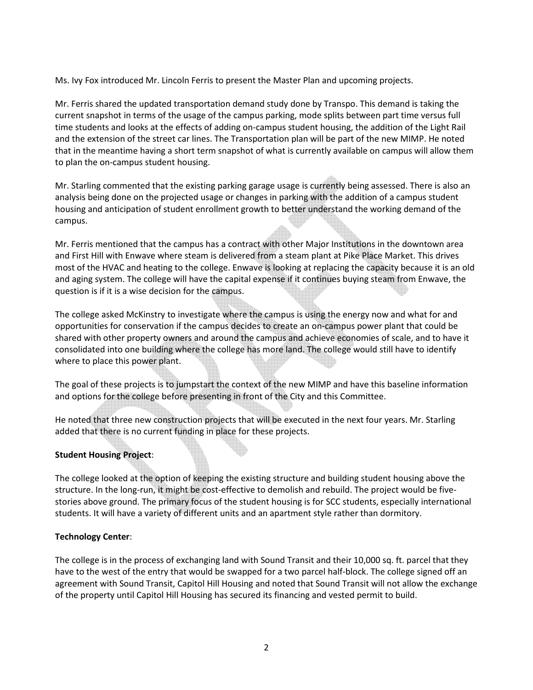Ms. Ivy Fox introduced Mr. Lincoln Ferris to present the Master Plan and upcoming projects.

Mr. Ferris shared the updated transportation demand study done by Transpo. This demand is taking the current snapshot in terms of the usage of the campus parking, mode splits between part time versus full time students and looks at the effects of adding on-campus student housing, the addition of the Light Rail and the extension of the street car lines. The Transportation plan will be part of the new MIMP. He noted that in the meantime having a short term snapshot of what is currently available on campus will allow them to plan the on-campus student housing.

Mr. Starling commented that the existing parking garage usage is currently being assessed. There is also an analysis being done on the projected usage or changes in parking with the addition of a campus student housing and anticipation of student enrollment growth to better understand the working demand of the campus.

Mr. Ferris mentioned that the campus has a contract with other Major Institutions in the downtown area and First Hill with Enwave where steam is delivered from a steam plant at Pike Place Market. This drives most of the HVAC and heating to the college. Enwave is looking at replacing the capacity because it is an old and aging system. The college will have the capital expense if it continues buying steam from Enwave, the question is if it is a wise decision for the campus.

The college asked McKinstry to investigate where the campus is using the energy now and what for and opportunities for conservation if the campus decides to create an on-campus power plant that could be shared with other property owners and around the campus and achieve economies of scale, and to have it consolidated into one building where the college has more land. The college would still have to identify where to place this power plant.

The goal of these projects is to jumpstart the context of the new MIMP and have this baseline information and options for the college before presenting in front of the City and this Committee.

He noted that three new construction projects that will be executed in the next four years. Mr. Starling added that there is no current funding in place for these projects.

# Student Housing Project:

The college looked at the option of keeping the existing structure and building student housing above the structure. In the long-run, it might be cost-effective to demolish and rebuild. The project would be fivestories above ground. The primary focus of the student housing is for SCC students, especially international students. It will have a variety of different units and an apartment style rather than dormitory.

#### Technology Center:

The college is in the process of exchanging land with Sound Transit and their 10,000 sq. ft. parcel that they have to the west of the entry that would be swapped for a two parcel half-block. The college signed off an agreement with Sound Transit, Capitol Hill Housing and noted that Sound Transit will not allow the exchange of the property until Capitol Hill Housing has secured its financing and vested permit to build.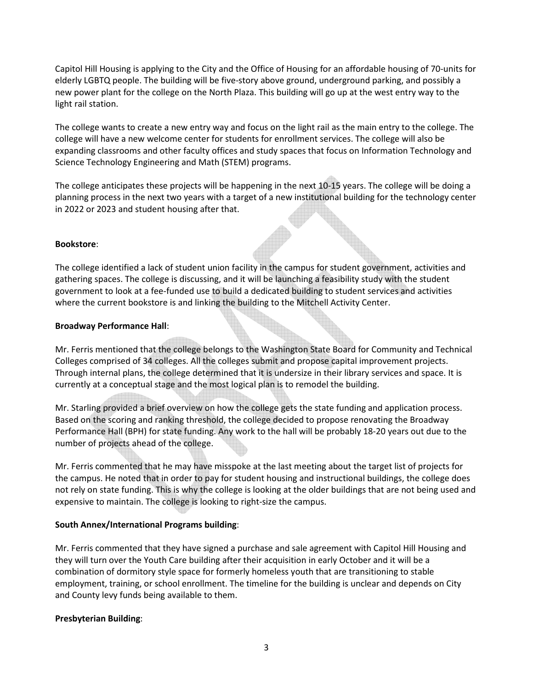Capitol Hill Housing is applying to the City and the Office of Housing for an affordable housing of 70-units for elderly LGBTQ people. The building will be five-story above ground, underground parking, and possibly a new power plant for the college on the North Plaza. This building will go up at the west entry way to the light rail station.

The college wants to create a new entry way and focus on the light rail as the main entry to the college. The college will have a new welcome center for students for enrollment services. The college will also be expanding classrooms and other faculty offices and study spaces that focus on Information Technology and Science Technology Engineering and Math (STEM) programs.

The college anticipates these projects will be happening in the next 10-15 years. The college will be doing a planning process in the next two years with a target of a new institutional building for the technology center in 2022 or 2023 and student housing after that.

#### Bookstore:

The college identified a lack of student union facility in the campus for student government, activities and gathering spaces. The college is discussing, and it will be launching a feasibility study with the student government to look at a fee-funded use to build a dedicated building to student services and activities where the current bookstore is and linking the building to the Mitchell Activity Center.

#### Broadway Performance Hall:

Mr. Ferris mentioned that the college belongs to the Washington State Board for Community and Technical Colleges comprised of 34 colleges. All the colleges submit and propose capital improvement projects. Through internal plans, the college determined that it is undersize in their library services and space. It is currently at a conceptual stage and the most logical plan is to remodel the building.

Mr. Starling provided a brief overview on how the college gets the state funding and application process. Based on the scoring and ranking threshold, the college decided to propose renovating the Broadway Performance Hall (BPH) for state funding. Any work to the hall will be probably 18-20 years out due to the number of projects ahead of the college.

Mr. Ferris commented that he may have misspoke at the last meeting about the target list of projects for the campus. He noted that in order to pay for student housing and instructional buildings, the college does not rely on state funding. This is why the college is looking at the older buildings that are not being used and expensive to maintain. The college is looking to right-size the campus.

# South Annex/International Programs building:

Mr. Ferris commented that they have signed a purchase and sale agreement with Capitol Hill Housing and they will turn over the Youth Care building after their acquisition in early October and it will be a combination of dormitory style space for formerly homeless youth that are transitioning to stable employment, training, or school enrollment. The timeline for the building is unclear and depends on City and County levy funds being available to them.

# Presbyterian Building: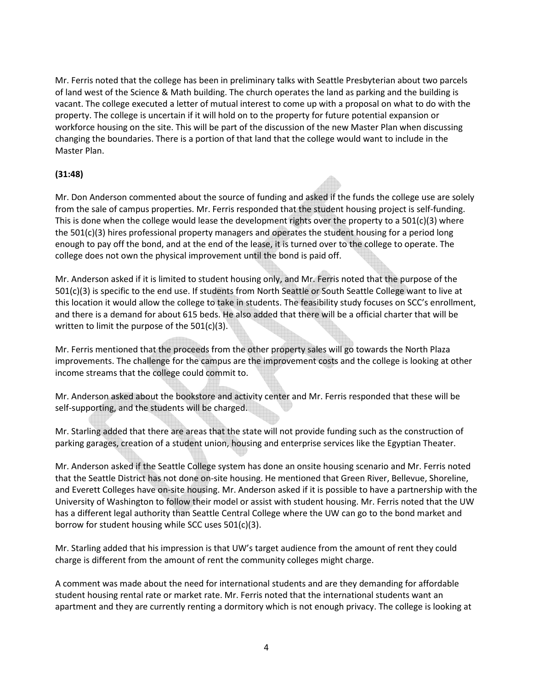Mr. Ferris noted that the college has been in preliminary talks with Seattle Presbyterian about two parcels of land west of the Science & Math building. The church operates the land as parking and the building is vacant. The college executed a letter of mutual interest to come up with a proposal on what to do with the property. The college is uncertain if it will hold on to the property for future potential expansion or workforce housing on the site. This will be part of the discussion of the new Master Plan when discussing changing the boundaries. There is a portion of that land that the college would want to include in the Master Plan.

# (31:48)

Mr. Don Anderson commented about the source of funding and asked if the funds the college use are solely from the sale of campus properties. Mr. Ferris responded that the student housing project is self-funding. This is done when the college would lease the development rights over the property to a  $501(c)(3)$  where the 501(c)(3) hires professional property managers and operates the student housing for a period long enough to pay off the bond, and at the end of the lease, it is turned over to the college to operate. The college does not own the physical improvement until the bond is paid off.

Mr. Anderson asked if it is limited to student housing only, and Mr. Ferris noted that the purpose of the 501(c)(3) is specific to the end use. If students from North Seattle or South Seattle College want to live at this location it would allow the college to take in students. The feasibility study focuses on SCC's enrollment, and there is a demand for about 615 beds. He also added that there will be a official charter that will be written to limit the purpose of the 501(c)(3).

Mr. Ferris mentioned that the proceeds from the other property sales will go towards the North Plaza improvements. The challenge for the campus are the improvement costs and the college is looking at other income streams that the college could commit to.

Mr. Anderson asked about the bookstore and activity center and Mr. Ferris responded that these will be self-supporting, and the students will be charged.

Mr. Starling added that there are areas that the state will not provide funding such as the construction of parking garages, creation of a student union, housing and enterprise services like the Egyptian Theater.

Mr. Anderson asked if the Seattle College system has done an onsite housing scenario and Mr. Ferris noted that the Seattle District has not done on-site housing. He mentioned that Green River, Bellevue, Shoreline, and Everett Colleges have on-site housing. Mr. Anderson asked if it is possible to have a partnership with the University of Washington to follow their model or assist with student housing. Mr. Ferris noted that the UW has a different legal authority than Seattle Central College where the UW can go to the bond market and borrow for student housing while SCC uses 501(c)(3).

Mr. Starling added that his impression is that UW's target audience from the amount of rent they could charge is different from the amount of rent the community colleges might charge.

A comment was made about the need for international students and are they demanding for affordable student housing rental rate or market rate. Mr. Ferris noted that the international students want an apartment and they are currently renting a dormitory which is not enough privacy. The college is looking at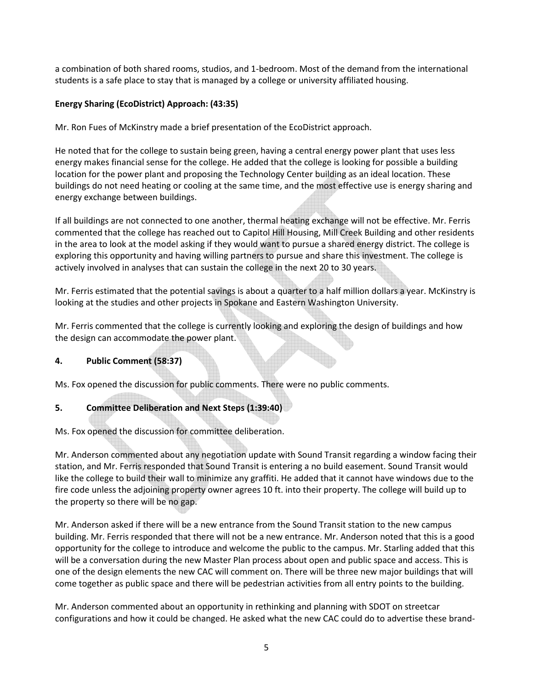a combination of both shared rooms, studios, and 1-bedroom. Most of the demand from the international students is a safe place to stay that is managed by a college or university affiliated housing.

# Energy Sharing (EcoDistrict) Approach: (43:35)

Mr. Ron Fues of McKinstry made a brief presentation of the EcoDistrict approach.

He noted that for the college to sustain being green, having a central energy power plant that uses less energy makes financial sense for the college. He added that the college is looking for possible a building location for the power plant and proposing the Technology Center building as an ideal location. These buildings do not need heating or cooling at the same time, and the most effective use is energy sharing and energy exchange between buildings.

If all buildings are not connected to one another, thermal heating exchange will not be effective. Mr. Ferris commented that the college has reached out to Capitol Hill Housing, Mill Creek Building and other residents in the area to look at the model asking if they would want to pursue a shared energy district. The college is exploring this opportunity and having willing partners to pursue and share this investment. The college is actively involved in analyses that can sustain the college in the next 20 to 30 years.

Mr. Ferris estimated that the potential savings is about a quarter to a half million dollars a year. McKinstry is looking at the studies and other projects in Spokane and Eastern Washington University.

Mr. Ferris commented that the college is currently looking and exploring the design of buildings and how the design can accommodate the power plant.

# 4. Public Comment (58:37)

Ms. Fox opened the discussion for public comments. There were no public comments.

# 5. Committee Deliberation and Next Steps (1:39:40)

Ms. Fox opened the discussion for committee deliberation.

Mr. Anderson commented about any negotiation update with Sound Transit regarding a window facing their station, and Mr. Ferris responded that Sound Transit is entering a no build easement. Sound Transit would like the college to build their wall to minimize any graffiti. He added that it cannot have windows due to the fire code unless the adjoining property owner agrees 10 ft. into their property. The college will build up to the property so there will be no gap.

Mr. Anderson asked if there will be a new entrance from the Sound Transit station to the new campus building. Mr. Ferris responded that there will not be a new entrance. Mr. Anderson noted that this is a good opportunity for the college to introduce and welcome the public to the campus. Mr. Starling added that this will be a conversation during the new Master Plan process about open and public space and access. This is one of the design elements the new CAC will comment on. There will be three new major buildings that will come together as public space and there will be pedestrian activities from all entry points to the building.

Mr. Anderson commented about an opportunity in rethinking and planning with SDOT on streetcar configurations and how it could be changed. He asked what the new CAC could do to advertise these brand-